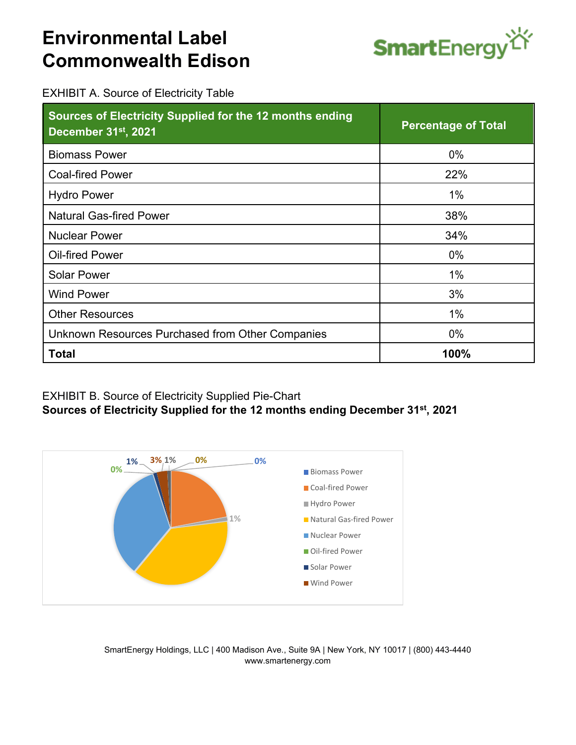## **Environmental Label Commonwealth Edison**



EXHIBIT A. Source of Electricity Table

| Sources of Electricity Supplied for the 12 months ending<br>December 31st, 2021 | <b>Percentage of Total</b> |
|---------------------------------------------------------------------------------|----------------------------|
| <b>Biomass Power</b>                                                            | $0\%$                      |
| <b>Coal-fired Power</b>                                                         | 22%                        |
| <b>Hydro Power</b>                                                              | 1%                         |
| <b>Natural Gas-fired Power</b>                                                  | 38%                        |
| <b>Nuclear Power</b>                                                            | 34%                        |
| <b>Oil-fired Power</b>                                                          | $0\%$                      |
| <b>Solar Power</b>                                                              | 1%                         |
| <b>Wind Power</b>                                                               | 3%                         |
| <b>Other Resources</b>                                                          | $1\%$                      |
| Unknown Resources Purchased from Other Companies                                | $0\%$                      |
| <b>Total</b>                                                                    | 100%                       |

## EXHIBIT B. Source of Electricity Supplied Pie-Chart **Sources of Electricity Supplied for the 12 months ending December 31st, 2021**



SmartEnergy Holdings, LLC | 400 Madison Ave., Suite 9A | New York, NY 10017 | (800) 443-4440 www.smartenergy.com